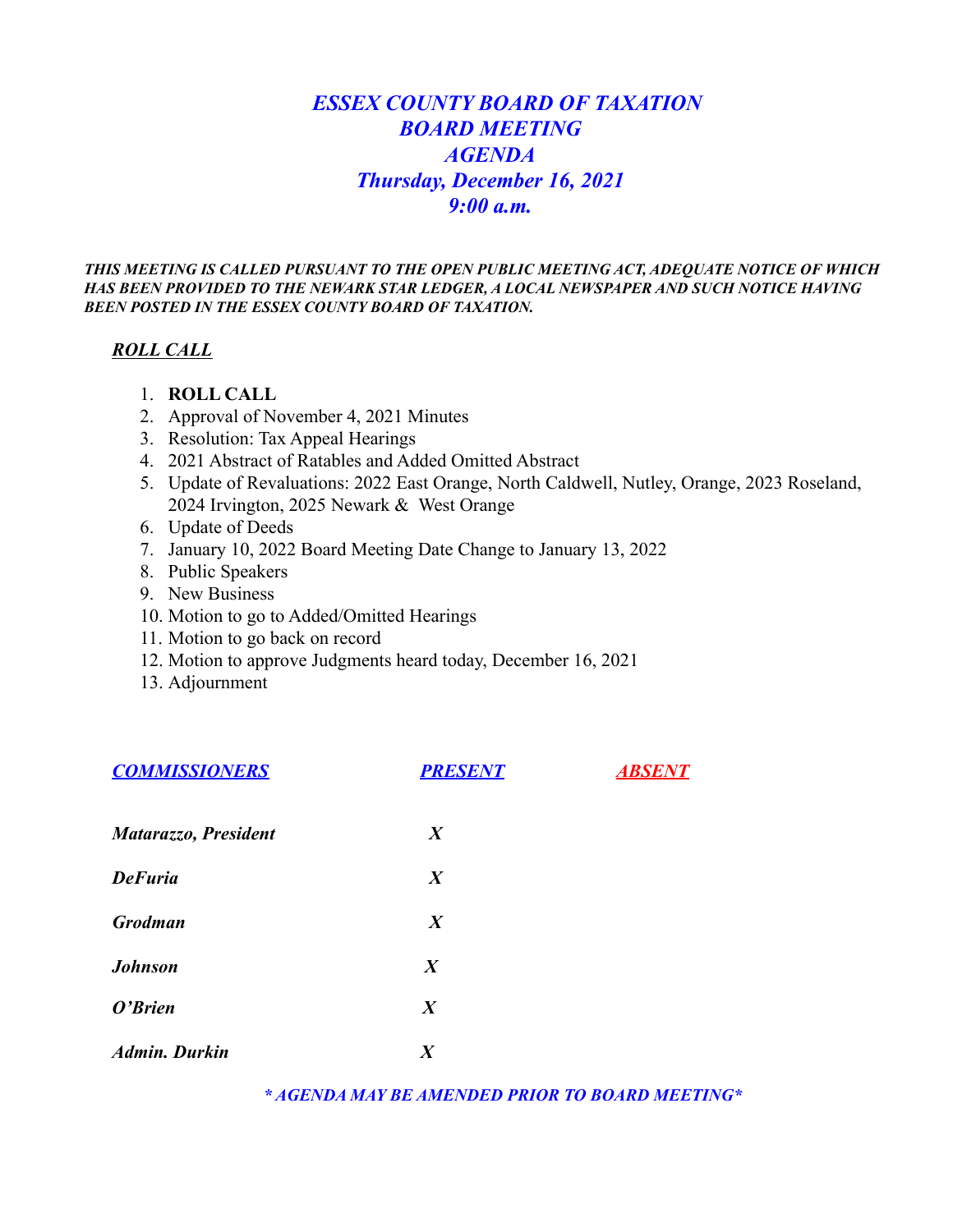# *ESSEX COUNTY BOARD OF TAXATION BOARD MEETING AGENDA Thursday, December 16, 2021 9:00 a.m.*

*THIS MEETING IS CALLED PURSUANT TO THE OPEN PUBLIC MEETING ACT, ADEQUATE NOTICE OF WHICH HAS BEEN PROVIDED TO THE NEWARK STAR LEDGER, A LOCAL NEWSPAPER AND SUCH NOTICE HAVING BEEN POSTED IN THE ESSEX COUNTY BOARD OF TAXATION.*

#### *ROLL CALL*

- 1. **ROLL CALL**
- 2. Approval of November 4, 2021 Minutes
- 3. Resolution: Tax Appeal Hearings
- 4. 2021 Abstract of Ratables and Added Omitted Abstract
- 5. Update of Revaluations: 2022 East Orange, North Caldwell, Nutley, Orange, 2023 Roseland, 2024 Irvington, 2025 Newark & West Orange
- 6. Update of Deeds
- 7. January 10, 2022 Board Meeting Date Change to January 13, 2022
- 8. Public Speakers
- 9. New Business
- 10. Motion to go to Added/Omitted Hearings
- 11. Motion to go back on record
- 12. Motion to approve Judgments heard today, December 16, 2021
- 13. Adjournment

| <b>COMMISSIONERS</b> | <b>PRESENT</b>   | <b>ABSENT</b> |
|----------------------|------------------|---------------|
| Matarazzo, President | $\boldsymbol{X}$ |               |
| <b>DeFuria</b>       | $\boldsymbol{X}$ |               |
| <b>Grodman</b>       | $\boldsymbol{X}$ |               |
| <b>Johnson</b>       | $\boldsymbol{X}$ |               |
| O'Brien              | $\boldsymbol{X}$ |               |
| <b>Admin. Durkin</b> | $\boldsymbol{X}$ |               |

*\* AGENDA MAY BE AMENDED PRIOR TO BOARD MEETING\**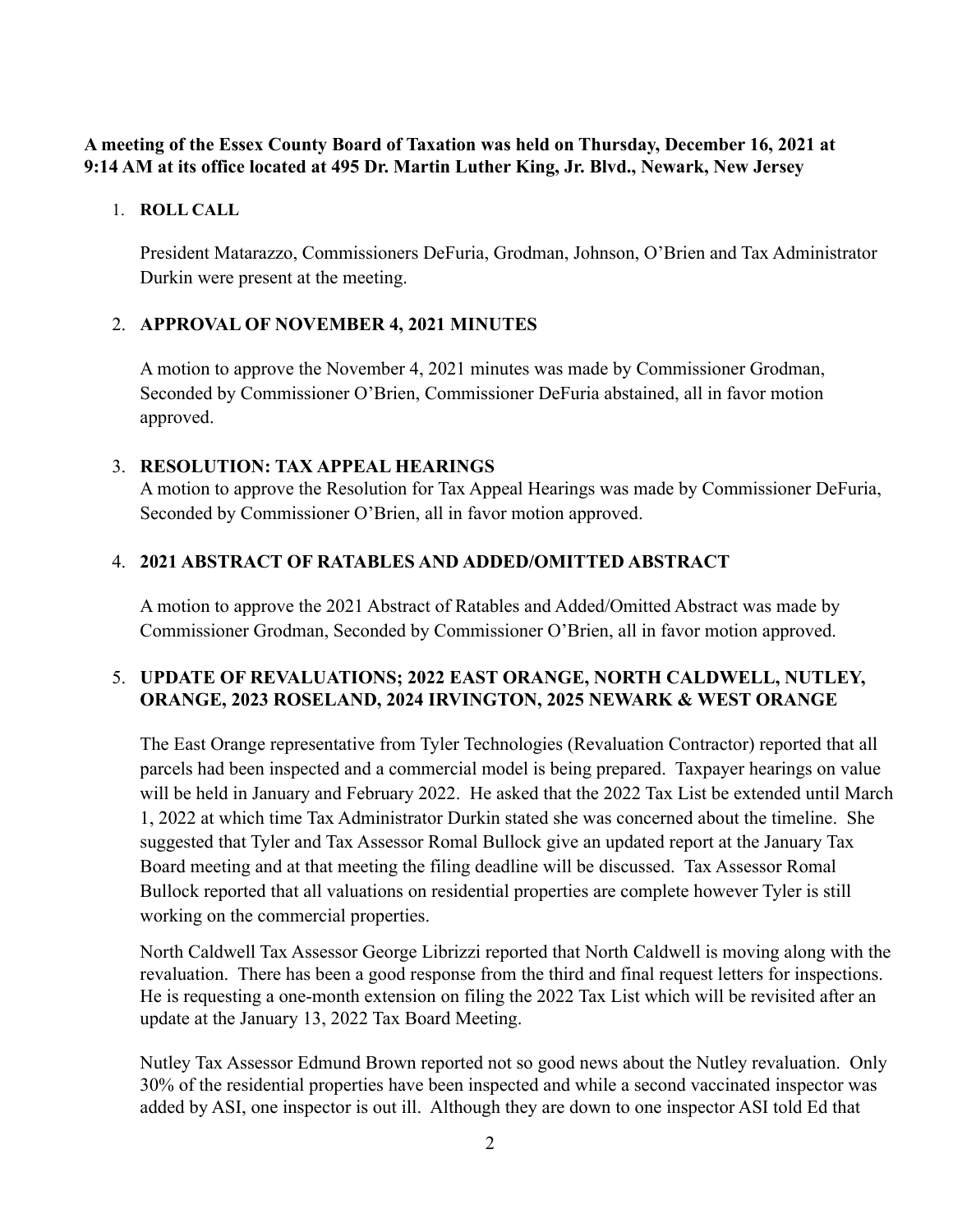### **A meeting of the Essex County Board of Taxation was held on Thursday, December 16, 2021 at 9:14 AM at its office located at 495 Dr. Martin Luther King, Jr. Blvd., Newark, New Jersey**

#### 1. **ROLL CALL**

President Matarazzo, Commissioners DeFuria, Grodman, Johnson, O'Brien and Tax Administrator Durkin were present at the meeting.

# 2. **APPROVAL OF NOVEMBER 4, 2021 MINUTES**

A motion to approve the November 4, 2021 minutes was made by Commissioner Grodman, Seconded by Commissioner O'Brien, Commissioner DeFuria abstained, all in favor motion approved.

#### 3. **RESOLUTION: TAX APPEAL HEARINGS**

A motion to approve the Resolution for Tax Appeal Hearings was made by Commissioner DeFuria, Seconded by Commissioner O'Brien, all in favor motion approved.

# 4. **2021 ABSTRACT OF RATABLES AND ADDED/OMITTED ABSTRACT**

A motion to approve the 2021 Abstract of Ratables and Added/Omitted Abstract was made by Commissioner Grodman, Seconded by Commissioner O'Brien, all in favor motion approved.

# 5. **UPDATE OF REVALUATIONS; 2022 EAST ORANGE, NORTH CALDWELL, NUTLEY, ORANGE, 2023 ROSELAND, 2024 IRVINGTON, 2025 NEWARK & WEST ORANGE**

The East Orange representative from Tyler Technologies (Revaluation Contractor) reported that all parcels had been inspected and a commercial model is being prepared. Taxpayer hearings on value will be held in January and February 2022. He asked that the 2022 Tax List be extended until March 1, 2022 at which time Tax Administrator Durkin stated she was concerned about the timeline. She suggested that Tyler and Tax Assessor Romal Bullock give an updated report at the January Tax Board meeting and at that meeting the filing deadline will be discussed. Tax Assessor Romal Bullock reported that all valuations on residential properties are complete however Tyler is still working on the commercial properties.

North Caldwell Tax Assessor George Librizzi reported that North Caldwell is moving along with the revaluation. There has been a good response from the third and final request letters for inspections. He is requesting a one-month extension on filing the 2022 Tax List which will be revisited after an update at the January 13, 2022 Tax Board Meeting.

Nutley Tax Assessor Edmund Brown reported not so good news about the Nutley revaluation. Only 30% of the residential properties have been inspected and while a second vaccinated inspector was added by ASI, one inspector is out ill. Although they are down to one inspector ASI told Ed that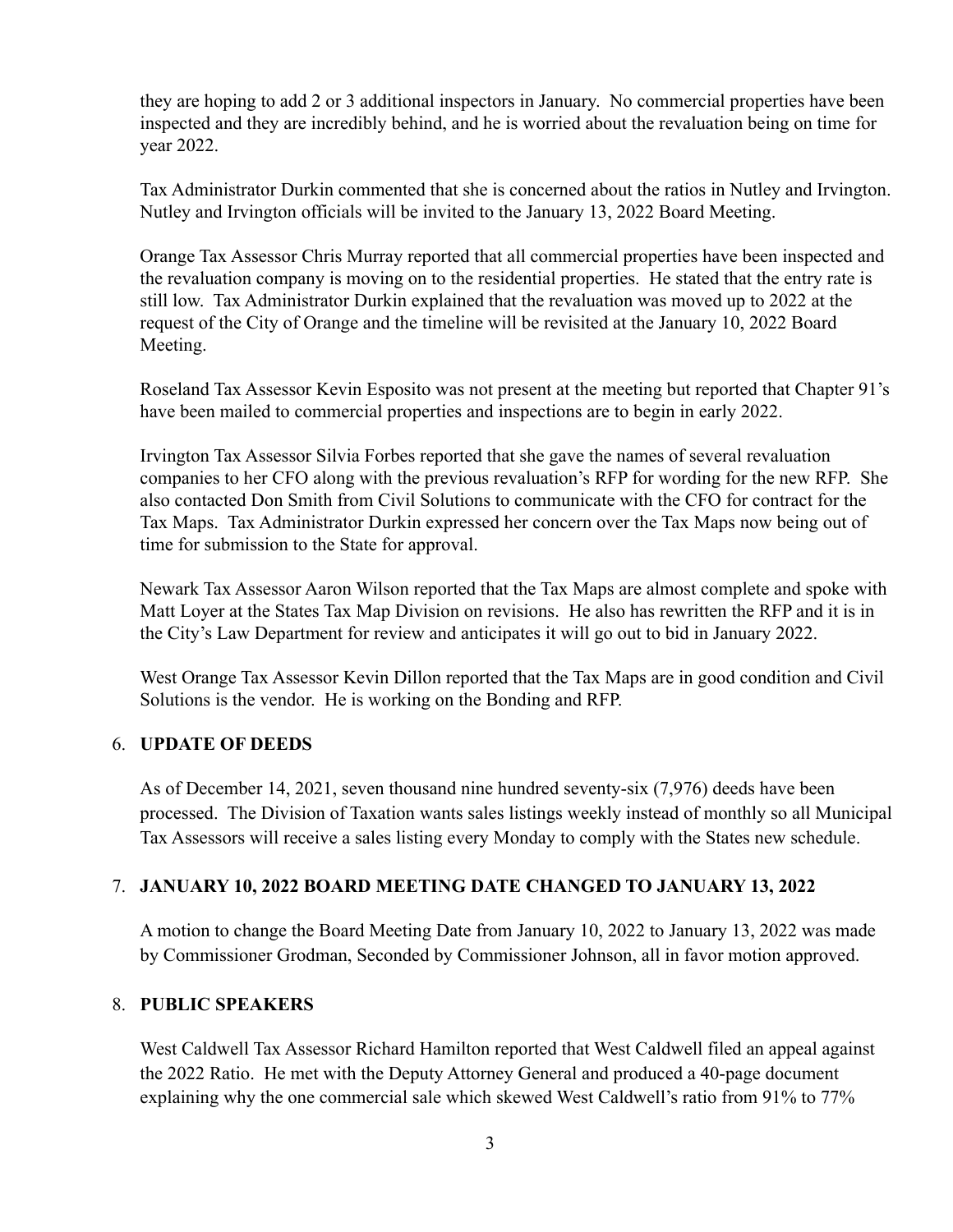they are hoping to add 2 or 3 additional inspectors in January. No commercial properties have been inspected and they are incredibly behind, and he is worried about the revaluation being on time for year 2022.

Tax Administrator Durkin commented that she is concerned about the ratios in Nutley and Irvington. Nutley and Irvington officials will be invited to the January 13, 2022 Board Meeting.

Orange Tax Assessor Chris Murray reported that all commercial properties have been inspected and the revaluation company is moving on to the residential properties. He stated that the entry rate is still low. Tax Administrator Durkin explained that the revaluation was moved up to 2022 at the request of the City of Orange and the timeline will be revisited at the January 10, 2022 Board Meeting.

Roseland Tax Assessor Kevin Esposito was not present at the meeting but reported that Chapter 91's have been mailed to commercial properties and inspections are to begin in early 2022.

Irvington Tax Assessor Silvia Forbes reported that she gave the names of several revaluation companies to her CFO along with the previous revaluation's RFP for wording for the new RFP. She also contacted Don Smith from Civil Solutions to communicate with the CFO for contract for the Tax Maps. Tax Administrator Durkin expressed her concern over the Tax Maps now being out of time for submission to the State for approval.

Newark Tax Assessor Aaron Wilson reported that the Tax Maps are almost complete and spoke with Matt Loyer at the States Tax Map Division on revisions. He also has rewritten the RFP and it is in the City's Law Department for review and anticipates it will go out to bid in January 2022.

West Orange Tax Assessor Kevin Dillon reported that the Tax Maps are in good condition and Civil Solutions is the vendor. He is working on the Bonding and RFP.

#### 6. **UPDATE OF DEEDS**

As of December 14, 2021, seven thousand nine hundred seventy-six (7,976) deeds have been processed. The Division of Taxation wants sales listings weekly instead of monthly so all Municipal Tax Assessors will receive a sales listing every Monday to comply with the States new schedule.

#### 7. **JANUARY 10, 2022 BOARD MEETING DATE CHANGED TO JANUARY 13, 2022**

A motion to change the Board Meeting Date from January 10, 2022 to January 13, 2022 was made by Commissioner Grodman, Seconded by Commissioner Johnson, all in favor motion approved.

#### 8. **PUBLIC SPEAKERS**

West Caldwell Tax Assessor Richard Hamilton reported that West Caldwell filed an appeal against the 2022 Ratio. He met with the Deputy Attorney General and produced a 40-page document explaining why the one commercial sale which skewed West Caldwell's ratio from 91% to 77%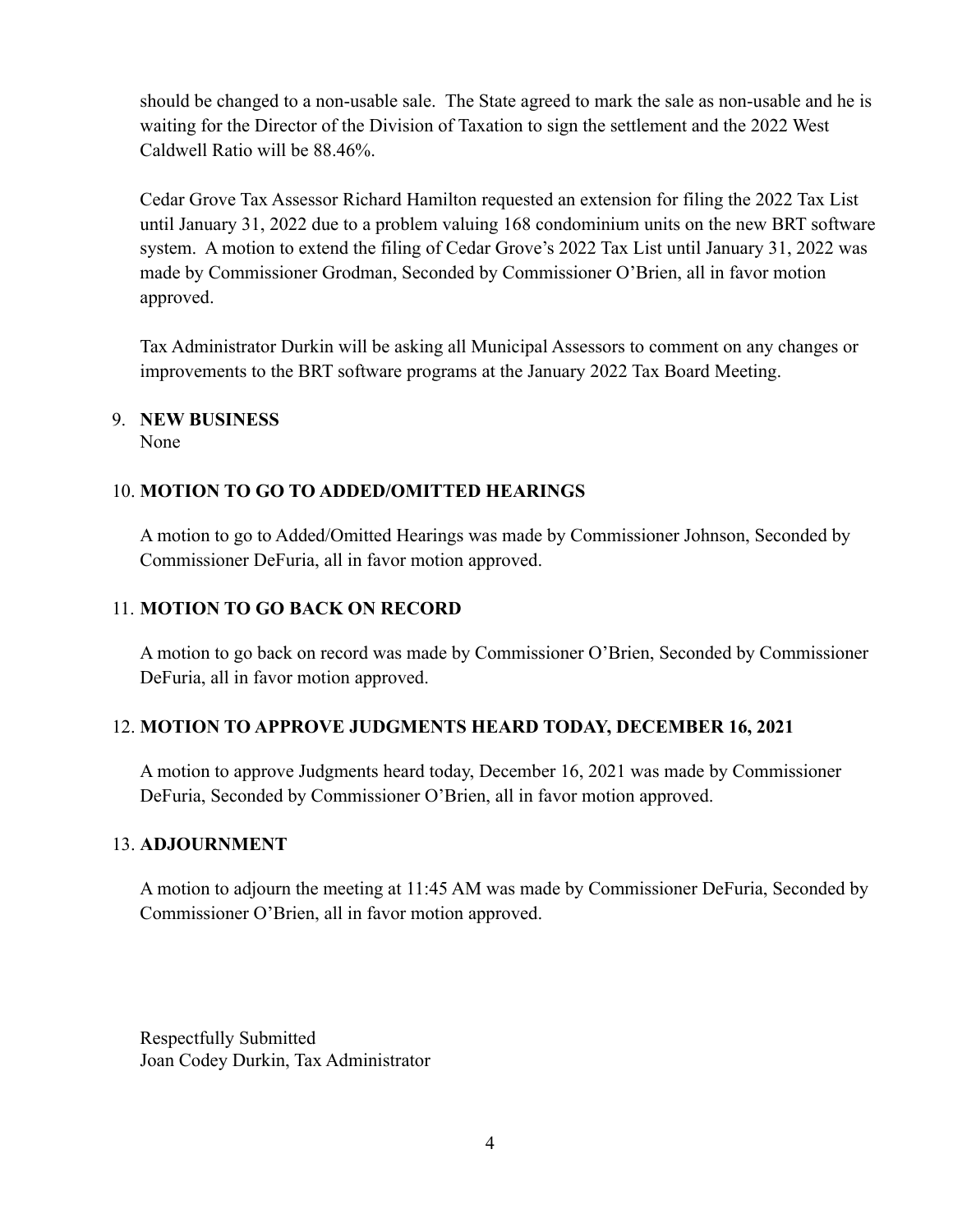should be changed to a non-usable sale. The State agreed to mark the sale as non-usable and he is waiting for the Director of the Division of Taxation to sign the settlement and the 2022 West Caldwell Ratio will be 88.46%.

Cedar Grove Tax Assessor Richard Hamilton requested an extension for filing the 2022 Tax List until January 31, 2022 due to a problem valuing 168 condominium units on the new BRT software system. A motion to extend the filing of Cedar Grove's 2022 Tax List until January 31, 2022 was made by Commissioner Grodman, Seconded by Commissioner O'Brien, all in favor motion approved.

Tax Administrator Durkin will be asking all Municipal Assessors to comment on any changes or improvements to the BRT software programs at the January 2022 Tax Board Meeting.

# 9. **NEW BUSINESS**

None

# 10. **MOTION TO GO TO ADDED/OMITTED HEARINGS**

A motion to go to Added/Omitted Hearings was made by Commissioner Johnson, Seconded by Commissioner DeFuria, all in favor motion approved.

### 11. **MOTION TO GO BACK ON RECORD**

A motion to go back on record was made by Commissioner O'Brien, Seconded by Commissioner DeFuria, all in favor motion approved.

#### 12. **MOTION TO APPROVE JUDGMENTS HEARD TODAY, DECEMBER 16, 2021**

A motion to approve Judgments heard today, December 16, 2021 was made by Commissioner DeFuria, Seconded by Commissioner O'Brien, all in favor motion approved.

#### 13. **ADJOURNMENT**

A motion to adjourn the meeting at 11:45 AM was made by Commissioner DeFuria, Seconded by Commissioner O'Brien, all in favor motion approved.

Respectfully Submitted Joan Codey Durkin, Tax Administrator